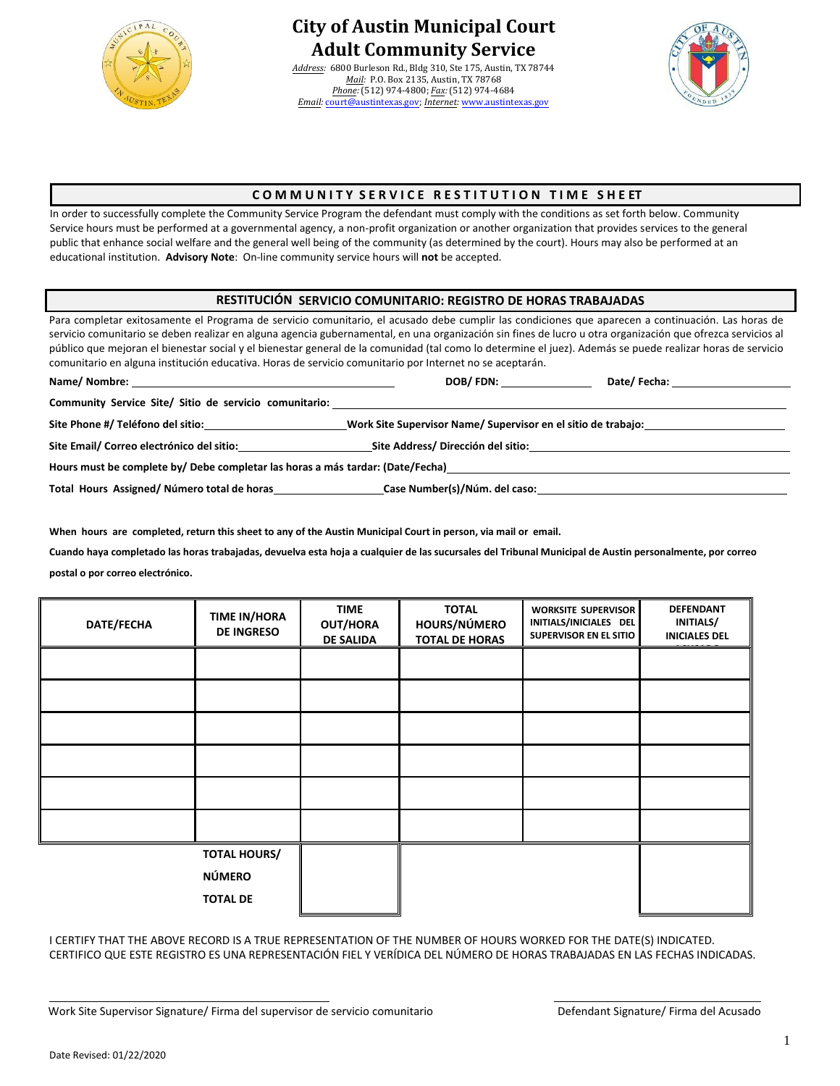

# **City of Austin Municipal Court Adult Community Service**

*Address:* 6800 Burleson Rd., Bldg 310, Ste 175, Austin, TX 78744 *Mail:* P.O. Box 2135, Austin, TX 78768 *Phone:* (512) 974-4800; *Fax:* (512) 974-4684 *Email:* court@austintexas.gov; *Internet:* [www.austintexas.gov](http://www.austintexas.gov/)



### **C O M M U N I T Y S E R V I C E R E S T I T U T I O N T I M E S H E ET**

In order to successfully complete the Community Service Program the defendant must comply with the conditions as set forth below. Community Service hours must be performed at a governmental agency, a non-profit organization or another organization that provides services to the general public that enhance social welfare and the general well being of the community (as determined by the court). Hours may also be performed at an educational institution. **Advisory Note**: On-line community service hours will **not** be accepted.

#### **RESTITUCIÓN SERVICIO COMUNITARIO: REGISTRO DE HORAS TRABAJADAS**

Para completar exitosamente el Programa de servicio comunitario, el acusado debe cumplir las condiciones que aparecen a continuación. Las horas de servicio comunitario se deben realizar en alguna agencia gubernamental, en una organización sin fines de lucro u otra organización que ofrezca servicios al público que mejoran el bienestar social y el bienestar general de la comunidad (tal como lo determine el juez). Además se puede realizar horas de servicio comunitario en alguna institución educativa. Horas de servicio comunitario por Internet no se aceptarán.

| Name/ Nombre:                                                                  | DOB/FDN:<br>Date/ Fecha:                                      |  |  |  |  |  |
|--------------------------------------------------------------------------------|---------------------------------------------------------------|--|--|--|--|--|
| Community Service Site/ Sitio de servicio comunitario:                         |                                                               |  |  |  |  |  |
| Site Phone #/ Teléfono del sitio:                                              | Work Site Supervisor Name/ Supervisor en el sitio de trabajo: |  |  |  |  |  |
| Site Email/ Correo electrónico del sitio:<br>Site Address/Dirección del sitio: |                                                               |  |  |  |  |  |
| Hours must be complete by/Debe completar las horas a más tardar: (Date/Fecha)  |                                                               |  |  |  |  |  |
| Total Hours Assigned/Número total de horas                                     | Case Number(s)/Núm. del caso:                                 |  |  |  |  |  |

**When hours are completed, return this sheet to any of the Austin Municipal Court in person, via mail or email.**

**[Cuando haya completado](mailto:youth@austintexas.gov) las horas trabajadas, devuelva esta hoja a cualquier de las sucursales del Tribunal Municipal de Austin personalmente, por correo postal o por correo electrónico.**

| DATE/FECHA | <b>TIME IN/HORA</b><br><b>DE INGRESO</b> | <b>TIME</b><br><b>OUT/HORA</b><br><b>DE SALIDA</b> | <b>TOTAL</b><br>HOURS/NÚMERO<br><b>TOTAL DE HORAS</b> | <b>WORKSITE SUPERVISOR</b><br>INITIALS/INICIALES DEL<br><b>SUPERVISOR EN EL SITIO</b> | <b>DEFENDANT</b><br>INITIALS/<br><b>INICIALES DEL</b> |
|------------|------------------------------------------|----------------------------------------------------|-------------------------------------------------------|---------------------------------------------------------------------------------------|-------------------------------------------------------|
|            |                                          |                                                    |                                                       |                                                                                       |                                                       |
|            |                                          |                                                    |                                                       |                                                                                       |                                                       |
|            |                                          |                                                    |                                                       |                                                                                       |                                                       |
|            |                                          |                                                    |                                                       |                                                                                       |                                                       |
|            |                                          |                                                    |                                                       |                                                                                       |                                                       |
|            |                                          |                                                    |                                                       |                                                                                       |                                                       |
|            | <b>TOTAL HOURS/</b>                      |                                                    |                                                       |                                                                                       |                                                       |
|            | <b>NÚMERO</b>                            |                                                    |                                                       |                                                                                       |                                                       |
|            | <b>TOTAL DE</b>                          |                                                    |                                                       |                                                                                       |                                                       |

I CERTIFY THAT THE ABOVE RECORD IS A TRUE REPRESENTATION OF THE NUMBER OF HOURS WORKED FOR THE DATE(S) INDICATED. CERTIFICO QUE ESTE REGISTRO ES UNA REPRESENTACIÓN FIEL Y VERÍDICA DEL NÚMERO DE HORAS TRABAJADAS EN LAS FECHAS INDICADAS.

Work Site Supervisor Signature/ Firma del supervisor de servicio comunitario